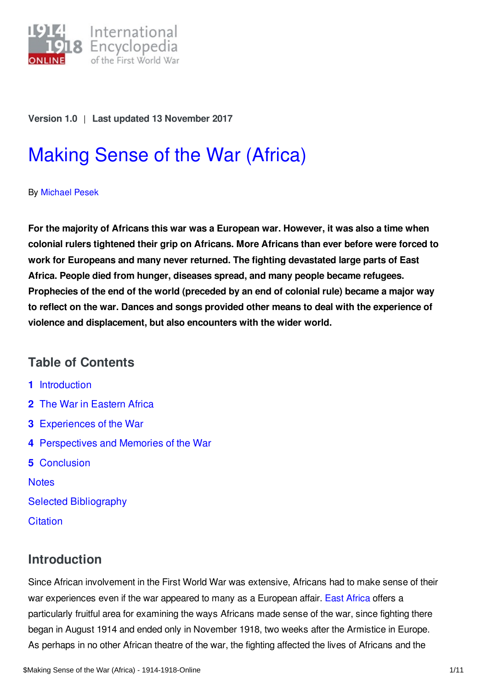

#### **Version 1.0** | **Last updated 13 November 2017**

# [Making](https://encyclopedia.1914-1918-online.net/article/making_sense_of_the_war_africa) Sense of the War (Africa)

By [Michael](https://encyclopedia.1914-1918-online.net/contributors/Michael_Pesek) Pesek

**For the majority of Africans this war was a European war. However, it was also a time when colonial rulers tightened their grip on Africans. More Africans than ever before were forced to work for Europeans and many never returned. The fighting devastated large parts of East Africa. People died from hunger, diseases spread, and many people became refugees. Prophecies of the end of the world (preceded by an end of colonial rule) became a major way to reflect on the war. Dances and songs provided other means to deal with the experience of violence and displacement, but also encounters with the wider world.**

## **Table of Contents**

- **1** [Introduction](#page-0-0)
- **2** The War in [Eastern](#page-1-0) Africa
- **3** [Experiences](#page-2-0) of the War
- **4** [Perspectives](#page-3-0) and Memories of the War
- **5** [Conclusion](#page-6-0)

**[Notes](#page-7-0)** Selected [Bibliography](#page-9-0) **[Citation](#page-10-0)** 

## <span id="page-0-0"></span>**Introduction**

Since African involvement in the First World War was extensive, Africans had to make sense of their war experiences even if the war appeared to many as a European affair. East [Africa](https://encyclopedia.1914-1918-online.net/article/east_and_central_africa) offers a particularly fruitful area for examining the ways Africans made sense of the war, since fighting there began in August 1914 and ended only in November 1918, two weeks after the Armistice in Europe. As perhaps in no other African theatre of the war, the fighting affected the lives of Africans and the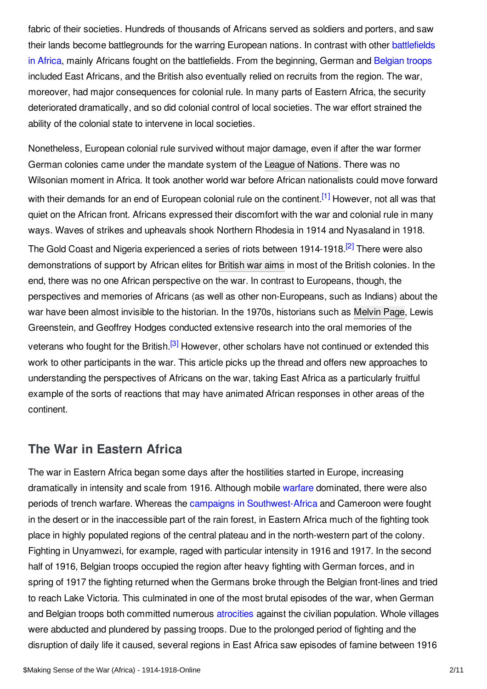fabric of their societies. Hundreds of thousands of Africans served as soldiers and porters, and saw their lands become [battlegrounds](https://encyclopedia.1914-1918-online.net/article/extra-european_theatres_of_war) for the warring European nations. In contrast with other battlefields in Africa, mainly Africans fought on the battlefields. From the beginning, German and [Belgian](https://encyclopedia.1914-1918-online.net/article/belgian_soldiers) troops included East Africans, and the British also eventually relied on recruits from the region. The war, moreover, had major consequences for colonial rule. In many parts of Eastern Africa, the security deteriorated dramatically, and so did colonial control of local societies. The war effort strained the ability of the colonial state to intervene in local societies.

<span id="page-1-2"></span><span id="page-1-1"></span>Nonetheless, European colonial rule survived without major damage, even if after the war former German colonies came under the mandate system of the League of [Nations](https://encyclopedia.1914-1918-online.net/article/league_of_nations). There was no Wilsonian moment in Africa. It took another world war before African nationalists could move forward with their demands for an end of European colonial rule on the continent.<sup>[\[1\]](#page-7-1)</sup> However, not all was that quiet on the African front. Africans expressed their discomfort with the war and colonial rule in many ways. Waves of strikes and upheavals shook Northern Rhodesia in 1914 and Nyasaland in 1918. The Gold Coast and Nigeria experienced a series of riots between 1914-1918.<sup>[\[2\]](#page-7-2)</sup> There were also demonstrations of support by African elites for [British](https://encyclopedia.1914-1918-online.net/article/war_aims_and_war_aims_discussions_great_britain_and_ireland) war aims in most of the British colonies. In the end, there was no one African perspective on the war. In contrast to Europeans, though, the perspectives and memories of Africans (as well as other non-Europeans, such as Indians) about the war have been almost invisible to the historian. In the 1970s, historians such as Melvin Page, Lewis Greenstein, and Geoffrey Hodges conducted extensive research into the oral memories of the veterans who fought for the British.<sup>[\[3\]](#page-7-3)</sup> However, other scholars have not continued or extended this work to other participants in the war. This article picks up the thread and offers new approaches to understanding the perspectives of Africans on the war, taking East Africa as a particularly fruitful example of the sorts of reactions that may have animated African responses in other areas of the continent.

### <span id="page-1-3"></span><span id="page-1-0"></span>**The War in Eastern Africa**

The war in Eastern Africa began some days after the hostilities started in Europe, increasing dramatically in intensity and scale from 1916. Although mobile [warfare](https://encyclopedia.1914-1918-online.net/article/colonial_warfare_and_occupation_africa) dominated, there were also periods of trench warfare. Whereas the campaigns in [Southwest-Africa](https://encyclopedia.1914-1918-online.net/article/south_africa_and_the_german_east_africa_campaign_union_of_south_africa) and Cameroon were fought in the desert or in the inaccessible part of the rain forest, in Eastern Africa much of the fighting took place in highly populated regions of the central plateau and in the north-western part of the colony. Fighting in Unyamwezi, for example, raged with particular intensity in 1916 and 1917. In the second half of 1916, Belgian troops occupied the region after heavy fighting with German forces, and in spring of 1917 the fighting returned when the Germans broke through the Belgian front-lines and tried to reach Lake Victoria. This culminated in one of the most brutal episodes of the war, when German and Belgian troops both committed numerous [atrocities](https://encyclopedia.1914-1918-online.net/article/atrocities) against the civilian population. Whole villages were abducted and plundered by passing troops. Due to the prolonged period of fighting and the disruption of daily life it caused, several regions in East Africa saw episodes of famine between 1916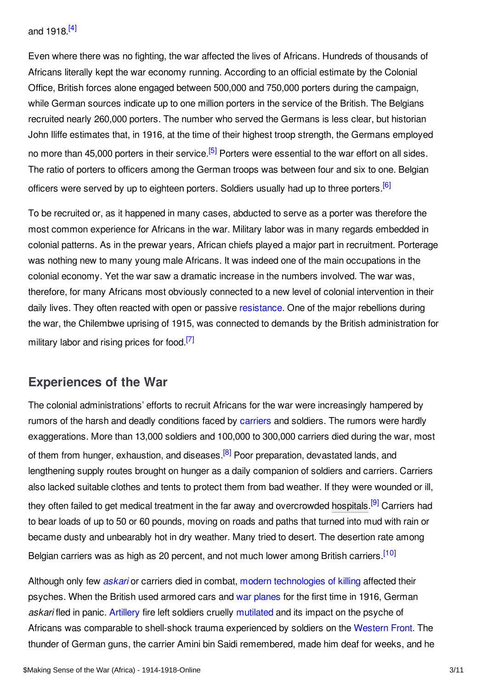<span id="page-2-1"></span>Even where there was no fighting, the war affected the lives of Africans. Hundreds of thousands of Africans literally kept the war economy running. According to an official estimate by the Colonial Office, British forces alone engaged between 500,000 and 750,000 porters during the campaign, while German sources indicate up to one million porters in the service of the British. The Belgians recruited nearly 260,000 porters. The number who served the Germans is less clear, but historian John Iliffe estimates that, in 1916, at the time of their highest troop strength, the Germans employed no more than 45,000 porters in their service.<sup>[\[5\]](#page-8-0)</sup> Porters were essential to the war effort on all sides. The ratio of porters to officers among the German troops was between four and six to one. Belgian officers were served by up to eighteen porters. Soldiers usually had up to three porters.<sup>[\[6\]](#page-8-1)</sup>

<span id="page-2-3"></span><span id="page-2-2"></span>To be recruited or, as it happened in many cases, abducted to serve as a porter was therefore the most common experience for Africans in the war. Military labor was in many regards embedded in colonial patterns. As in the prewar years, African chiefs played a major part in recruitment. Porterage was nothing new to many young male Africans. It was indeed one of the main occupations in the colonial economy. Yet the war saw a dramatic increase in the numbers involved. The war was, therefore, for many Africans most obviously connected to a new level of colonial intervention in their daily lives. They often reacted with open or passive [resistance](https://encyclopedia.1914-1918-online.net/article/resistance_and_rebellions_africa). One of the major rebellions during the war, the Chilembwe uprising of 1915, was connected to demands by the British administration for military labor and rising prices for food.<sup>[\[7\]](#page-8-2)</sup>

## <span id="page-2-4"></span><span id="page-2-0"></span>**Experiences of the War**

<span id="page-2-5"></span>The colonial administrations' efforts to recruit Africans for the war were increasingly hampered by rumors of the harsh and deadly conditions faced by [carriers](https://encyclopedia.1914-1918-online.net/article/carrier_corps) and soldiers. The rumors were hardly exaggerations. More than 13,000 soldiers and 100,000 to 300,000 carriers died during the war, most of them from hunger, exhaustion, and diseases.<sup>[\[8\]](#page-8-3)</sup> Poor preparation, devastated lands, and lengthening supply routes brought on hunger as a daily companion of soldiers and carriers. Carriers also lacked suitable clothes and tents to protect them from bad weather. If they were wounded or ill, they often failed to get medical treatment in the far away and overcrowded [hospitals](https://encyclopedia.1914-1918-online.net/article/hospitals).<sup>[\[9\]](#page-8-4)</sup> Carriers had to bear loads of up to 50 or 60 pounds, moving on roads and paths that turned into mud with rain or became dusty and unbearably hot in dry weather. Many tried to desert. The desertion rate among Belgian carriers was as high as 20 percent, and not much lower among British carriers.<sup>[\[10\]](#page-8-5)</sup>

<span id="page-2-7"></span><span id="page-2-6"></span>Although only few *[askari](https://encyclopedia.1914-1918-online.net/article/askari)* or carriers died in combat, modern [technologies](https://encyclopedia.1914-1918-online.net/article/on_the_road_to_modern_war) of killing affected their psyches. When the British used armored cars and war [planes](https://encyclopedia.1914-1918-online.net/article/aircraft_fighter_and_pursuit) for the first time in 1916, German *askari* fled in panic. [Artillery](https://encyclopedia.1914-1918-online.net/article/artillery) fire left soldiers cruelly [mutilated](https://encyclopedia.1914-1918-online.net/article/mutilation_and_disfiguration) and its impact on the psyche of Africans was comparable to shell-shock trauma experienced by soldiers on the [Western](https://encyclopedia.1914-1918-online.net/article/western_front) Front. The thunder of German guns, the carrier Amini bin Saidi remembered, made him deaf for weeks, and he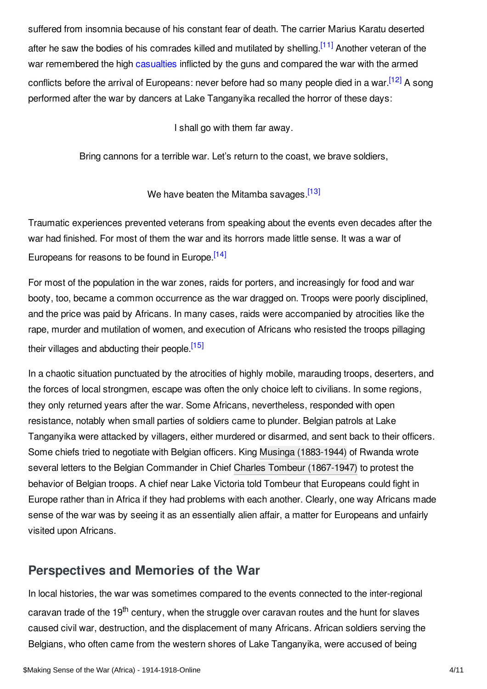suffered from insomnia because of his constant fear of death. The carrier Marius Karatu deserted after he saw the bodies of his comrades killed and mutilated by shelling.<sup>[\[11\]](#page-8-6)</sup> Another veteran of the war remembered the high [casualties](https://encyclopedia.1914-1918-online.net/article/war_losses_africa) inflicted by the guns and compared the war with the armed conflicts before the arrival of Europeans: never before had so many people died in a war.<sup>[\[12\]](#page-8-7)</sup> A song performed after the war by dancers at Lake Tanganyika recalled the horror of these days:

<span id="page-3-3"></span><span id="page-3-2"></span><span id="page-3-1"></span>I shall go with them far away.

Bring cannons for a terrible war. Let's return to the coast, we brave soldiers,

<span id="page-3-5"></span><span id="page-3-4"></span>We have beaten the Mitamba savages.<sup>[\[13\]](#page-8-8)</sup>

Traumatic experiences prevented veterans from speaking about the events even decades after the war had finished. For most of them the war and its horrors made little sense. It was a war of Europeans for reasons to be found in Europe.<sup>[\[14\]](#page-8-9)</sup>

For most of the population in the war zones, raids for porters, and increasingly for food and war booty, too, became a common occurrence as the war dragged on. Troops were poorly disciplined, and the price was paid by Africans. In many cases, raids were accompanied by atrocities like the rape, murder and mutilation of women, and execution of Africans who resisted the troops pillaging their villages and abducting their people.<sup>[\[15\]](#page-8-10)</sup>

In a chaotic situation punctuated by the atrocities of highly mobile, marauding troops, deserters, and the forces of local strongmen, escape was often the only choice left to civilians. In some regions, they only returned years after the war. Some Africans, nevertheless, responded with open resistance, notably when small parties of soldiers came to plunder. Belgian patrols at Lake Tanganyika were attacked by villagers, either murdered or disarmed, and sent back to their officers. Some chiefs tried to negotiate with Belgian officers. King Musinga [\(1883-1944\)](https://encyclopedia.1914-1918-online.net/index/names/116946598) of Rwanda wrote several letters to the Belgian Commander in Chief Charles Tombeur [\(1867-1947\)](https://encyclopedia.1914-1918-online.net/index/names/1082777269) to protest the behavior of Belgian troops. A chief near Lake Victoria told Tombeur that Europeans could fight in Europe rather than in Africa if they had problems with each another. Clearly, one way Africans made sense of the war was by seeing it as an essentially alien affair, a matter for Europeans and unfairly visited upon Africans.

## <span id="page-3-0"></span>**Perspectives and Memories of the War**

In local histories, the war was sometimes compared to the events connected to the inter-regional caravan trade of the 19<sup>th</sup> century, when the struggle over caravan routes and the hunt for slaves caused civil war, destruction, and the displacement of many Africans. African soldiers serving the Belgians, who often came from the western shores of Lake Tanganyika, were accused of being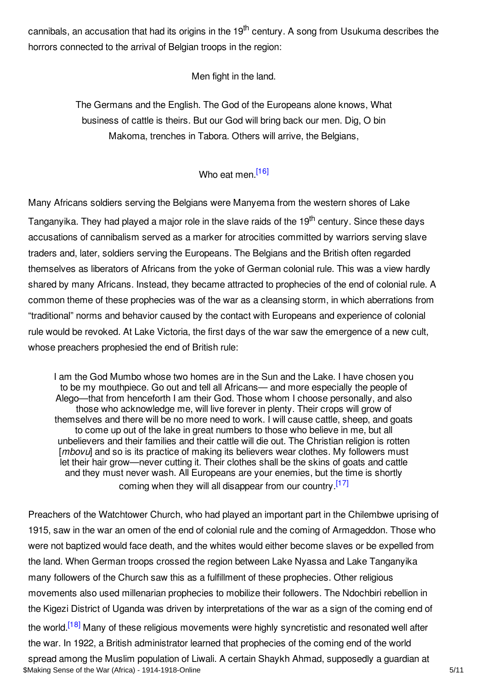cannibals, an accusation that had its origins in the 19<sup>th</sup> century. A song from Usukuma describes the horrors connected to the arrival of Belgian troops in the region:

Men fight in the land.

The Germans and the English. The God of the Europeans alone knows, What business of cattle is theirs. But our God will bring back our men. Dig, O bin Makoma, trenches in Tabora. Others will arrive, the Belgians,

<span id="page-4-0"></span>Who eat men.<sup>[\[16\]](#page-8-11)</sup>

Many Africans soldiers serving the Belgians were Manyema from the western shores of Lake Tanganyika. They had played a major role in the slave raids of the 19<sup>th</sup> century. Since these days accusations of cannibalism served as a marker for atrocities committed by warriors serving slave traders and, later, soldiers serving the Europeans. The Belgians and the British often regarded themselves as liberators of Africans from the yoke of German colonial rule. This was a view hardly shared by many Africans. Instead, they became attracted to prophecies of the end of colonial rule. A common theme of these prophecies was of the war as a cleansing storm, in which aberrations from "traditional" norms and behavior caused by the contact with Europeans and experience of colonial rule would be revoked. At Lake Victoria, the first days of the war saw the emergence of a new cult, whose preachers prophesied the end of British rule:

<span id="page-4-1"></span>I am the God Mumbo whose two homes are in the Sun and the Lake. I have chosen you to be my mouthpiece. Go out and tell all Africans— and more especially the people of Alego—that from henceforth I am their God. Those whom I choose personally, and also those who acknowledge me, will live forever in plenty. Their crops will grow of themselves and there will be no more need to work. I will cause cattle, sheep, and goats to come up out of the lake in great numbers to those who believe in me, but all unbelievers and their families and their cattle will die out. The Christian religion is rotten [*mbovu*] and so is its practice of making its believers wear clothes. My followers must let their hair grow—never cutting it. Their clothes shall be the skins of goats and cattle and they must never wash. All Europeans are your enemies, but the time is shortly coming when they will all disappear from our country.<sup>[\[17\]](#page-8-12)</sup>

<span id="page-4-2"></span>Preachers of the Watchtower Church, who had played an important part in the Chilembwe uprising of 1915, saw in the war an omen of the end of colonial rule and the coming of Armageddon. Those who were not baptized would face death, and the whites would either become slaves or be expelled from the land. When German troops crossed the region between Lake Nyassa and Lake Tanganyika many followers of the Church saw this as a fulfillment of these prophecies. Other religious movements also used millenarian prophecies to mobilize their followers. The Ndochbiri rebellion in the Kigezi District of Uganda was driven by interpretations of the war as a sign of the coming end of the world.<sup>[\[18\]](#page-8-13)</sup> Many of these religious movements were highly syncretistic and resonated well after the war. In 1922, a British administrator learned that prophecies of the coming end of the world spread among the Muslim population of Liwali. A certain Shaykh Ahmad, supposedly a guardian at \$Making Sense of the War (Africa) - 1914-1918-Online 5/11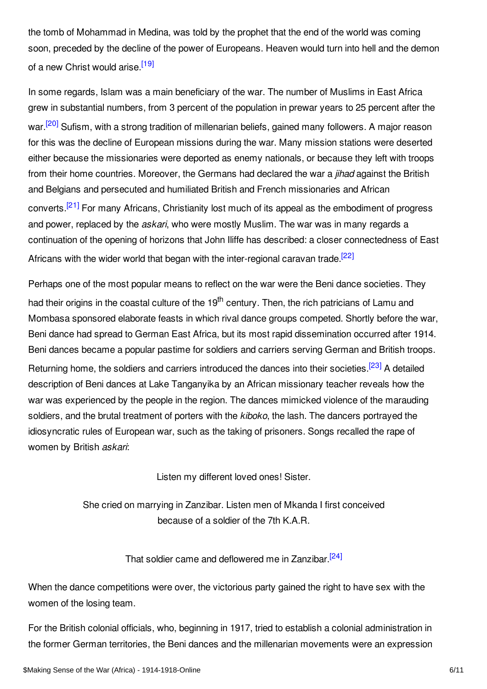the tomb of Mohammad in Medina, was told by the prophet that the end of the world was coming soon, preceded by the decline of the power of Europeans. Heaven would turn into hell and the demon of a new Christ would arise.<sup>[\[19\]](#page-8-14)</sup>

<span id="page-5-1"></span><span id="page-5-0"></span>In some regards, Islam was a main beneficiary of the war. The number of Muslims in East Africa grew in substantial numbers, from 3 percent of the population in prewar years to 25 percent after the war.<sup>[\[20\]](#page-8-15)</sup> Sufism, with a strong tradition of millenarian beliefs, gained many followers. A major reason for this was the decline of European missions during the war. Many mission stations were deserted either because the missionaries were deported as enemy nationals, or because they left with troops from their home countries. Moreover, the Germans had declared the war a *jihad* against the British and Belgians and persecuted and humiliated British and French missionaries and African converts.<sup>[\[21\]](#page-8-16)</sup> For many Africans, Christianity lost much of its appeal as the embodiment of progress and power, replaced by the *askari*, who were mostly Muslim. The war was in many regards a continuation of the opening of horizons that John Iliffe has described: a closer connectedness of East Africans with the wider world that began with the inter-regional caravan trade.<sup>[\[22\]](#page-9-1)</sup>

<span id="page-5-2"></span>Perhaps one of the most popular means to reflect on the war were the Beni dance societies. They had their origins in the coastal culture of the 19<sup>th</sup> century. Then, the rich patricians of Lamu and Mombasa sponsored elaborate feasts in which rival dance groups competed. Shortly before the war, Beni dance had spread to German East Africa, but its most rapid dissemination occurred after 1914. Beni dances became a popular pastime for soldiers and carriers serving German and British troops. Returning home, the soldiers and carriers introduced the dances into their societies.<sup>[\[23\]](#page-9-2)</sup> A detailed description of Beni dances at Lake Tanganyika by an African missionary teacher reveals how the war was experienced by the people in the region. The dances mimicked violence of the marauding soldiers, and the brutal treatment of porters with the *kiboko*, the lash. The dancers portrayed the idiosyncratic rules of European war, such as the taking of prisoners. Songs recalled the rape of women by British *askari*:

<span id="page-5-5"></span><span id="page-5-4"></span><span id="page-5-3"></span>Listen my different loved ones! Sister.

She cried on marrying in Zanzibar. Listen men of Mkanda I first conceived because of a soldier of the 7th K.A.R.

That soldier came and deflowered me in Zanzibar <sup>[\[24\]](#page-9-3)</sup>

When the dance competitions were over, the victorious party gained the right to have sex with the women of the losing team.

For the British colonial officials, who, beginning in 1917, tried to establish a colonial administration in the former German territories, the Beni dances and the millenarian movements were an expression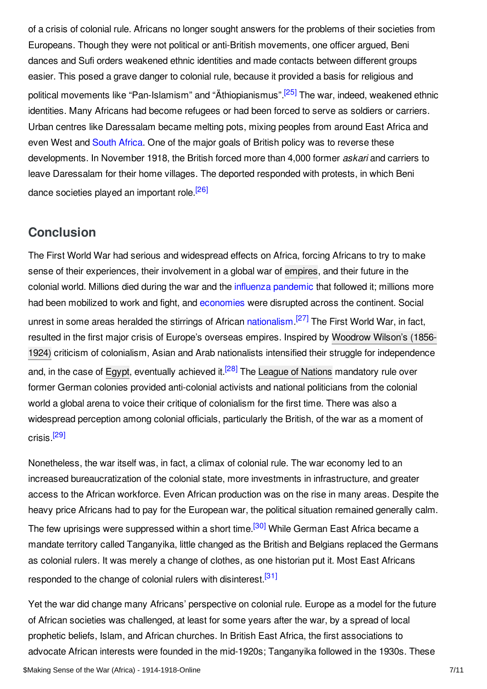<span id="page-6-1"></span>of a crisis of colonial rule. Africans no longer sought answers for the problems of their societies from Europeans. Though they were not political or anti-British movements, one officer argued, Beni dances and Sufi orders weakened ethnic identities and made contacts between different groups easier. This posed a grave danger to colonial rule, because it provided a basis for religious and political movements like "Pan-Islamism" and "Äthiopianismus".<sup>[\[25\]](#page-9-4)</sup> The war, indeed, weakened ethnic identities. Many Africans had become refugees or had been forced to serve as soldiers or carriers. Urban centres like Daressalam became melting pots, mixing peoples from around East Africa and even West and [South](https://encyclopedia.1914-1918-online.net/article/union_of_south_africa) Africa. One of the major goals of British policy was to reverse these developments. In November 1918, the British forced more than 4,000 former *askari* and carriers to leave Daressalam for their home villages. The deported responded with protests, in which Beni dance societies played an important role.<sup>[\[26\]](#page-9-5)</sup>

## <span id="page-6-2"></span><span id="page-6-0"></span>**Conclusion**

<span id="page-6-3"></span>The First World War had serious and widespread effects on Africa, forcing Africans to try to make sense of their experiences, their involvement in a global war of [empires](https://encyclopedia.1914-1918-online.net/article/empire), and their future in the colonial world. Millions died during the war and the influenza [pandemic](https://encyclopedia.1914-1918-online.net/article/influenza_pandemic_africa) that followed it; millions more had been mobilized to work and fight, and [economies](https://encyclopedia.1914-1918-online.net/article/post-war_economies_africa) were disrupted across the continent. Social unrest in some areas heralded the stirrings of African [nationalism](https://encyclopedia.1914-1918-online.net/article/nationalism).<sup>[\[27\]](#page-9-6)</sup> The First World War, in fact, resulted in the first major crisis of Europe's overseas empires. Inspired by Woodrow Wilson's (1856- 1924) criticism of colonialism, Asian and Arab nationalists intensified their struggle for [independence](https://encyclopedia.1914-1918-online.net/index/names/118643401) and, in the case of [Egypt](https://encyclopedia.1914-1918-online.net/article/egypt), eventually achieved it.<sup>[\[28\]](#page-9-7)</sup> The League of [Nations](https://encyclopedia.1914-1918-online.net/article/league_of_nations) mandatory rule over former German colonies provided anti-colonial activists and national politicians from the colonial world a global arena to voice their critique of colonialism for the first time. There was also a widespread perception among colonial officials, particularly the British, of the war as a moment of crisis.<sup>[\[29\]](#page-9-8)</sup>

<span id="page-6-6"></span><span id="page-6-5"></span><span id="page-6-4"></span>Nonetheless, the war itself was, in fact, a climax of colonial rule. The war economy led to an increased bureaucratization of the colonial state, more investments in infrastructure, and greater access to the African workforce. Even African production was on the rise in many areas. Despite the heavy price Africans had to pay for the European war, the political situation remained generally calm. The few uprisings were suppressed within a short time.<sup>[\[30\]](#page-9-9)</sup> While German East Africa became a mandate territory called Tanganyika, little changed as the British and Belgians replaced the Germans as colonial rulers. It was merely a change of clothes, as one historian put it. Most East Africans responded to the change of colonial rulers with disinterest.<sup>[\[31\]](#page-9-10)</sup>

<span id="page-6-7"></span>Yet the war did change many Africans' perspective on colonial rule. Europe as a model for the future of African societies was challenged, at least for some years after the war, by a spread of local prophetic beliefs, Islam, and African churches. In British East Africa, the first associations to advocate African interests were founded in the mid-1920s; Tanganyika followed in the 1930s. These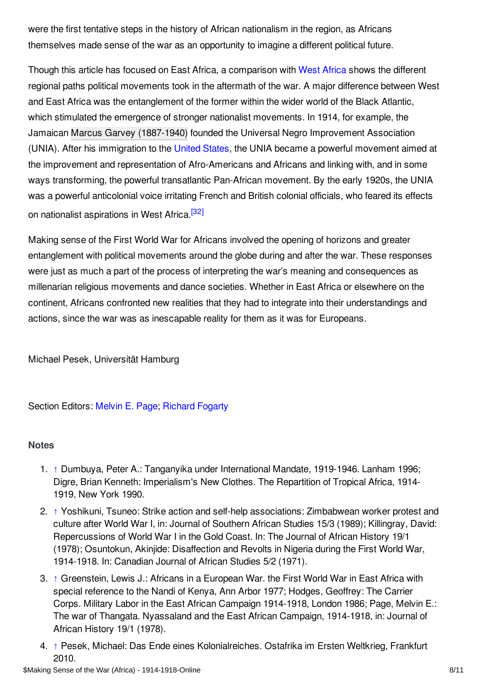were the first tentative steps in the history of African nationalism in the region, as Africans themselves made sense of the war as an opportunity to imagine a different political future.

Though this article has focused on East Africa, a comparison with West [Africa](https://encyclopedia.1914-1918-online.net/article/west_africa) shows the different regional paths political movements took in the aftermath of the war. A major difference between West and East Africa was the entanglement of the former within the wider world of the Black Atlantic, which stimulated the emergence of stronger nationalist movements. In 1914, for example, the Jamaican Marcus Garvey [\(1887-1940\)](https://encyclopedia.1914-1918-online.net/index/names/118716468) founded the Universal Negro Improvement Association (UNIA). After his immigration to the [United](https://encyclopedia.1914-1918-online.net/article/united_states_of_america) States, the UNIA became a powerful movement aimed at the improvement and representation of Afro-Americans and Africans and linking with, and in some ways transforming, the powerful transatlantic Pan-African movement. By the early 1920s, the UNIA was a powerful anticolonial voice irritating French and British colonial officials, who feared its effects on nationalist aspirations in West Africa.<sup>[\[32\]](#page-9-11)</sup>

<span id="page-7-5"></span>Making sense of the First World War for Africans involved the opening of horizons and greater entanglement with political movements around the globe during and after the war. These responses were just as much a part of the process of interpreting the war's meaning and consequences as millenarian religious movements and dance societies. Whether in East Africa or elsewhere on the continent, Africans confronted new realities that they had to integrate into their understandings and actions, since the war was as inescapable reality for them as it was for Europeans.

Michael Pesek, Universität Hamburg

Section Editors: [Melvin](https://encyclopedia.1914-1918-online.net/contributors/Melvin_Page) E. Page; [Richard](https://encyclopedia.1914-1918-online.net/contributors/Richard_Fogarty) Fogarty

#### <span id="page-7-0"></span>**Notes**

- <span id="page-7-1"></span>1. [↑](#page-1-1) Dumbuya, Peter A.: Tanganyika under International Mandate, 1919-1946. Lanham 1996; Digre, Brian Kenneth: Imperialism's New Clothes. The Repartition of Tropical Africa, 1914- 1919, New York 1990.
- <span id="page-7-2"></span>2. [↑](#page-1-2) Yoshikuni, Tsuneo: Strike action and self-help associations: Zimbabwean worker protest and culture after World War I, in: Journal of Southern African Studies 15/3 (1989); Killingray, David: Repercussions of World War I in the Gold Coast. In: The Journal of African History 19/1 (1978); Osuntokun, Akinjide: Disaffection and Revolts in Nigeria during the First World War, 1914-1918. In: Canadian Journal of African Studies 5/2 (1971).
- <span id="page-7-3"></span>3. [↑](#page-1-3) Greenstein, Lewis J.: Africans in a European War. the First World War in East Africa with special reference to the Nandi of Kenya, Ann Arbor 1977; Hodges, Geoffrey: The Carrier Corps. Military Labor in the East African Campaign 1914-1918, London 1986; Page, Melvin E.: The war of Thangata. Nyassaland and the East African Campaign, 1914-1918, in: Journal of African History 19/1 (1978).
- <span id="page-7-4"></span>4. [↑](#page-2-1) Pesek, Michael: Das Ende eines Kolonialreiches. Ostafrika im Ersten Weltkrieg, Frankfurt 2010.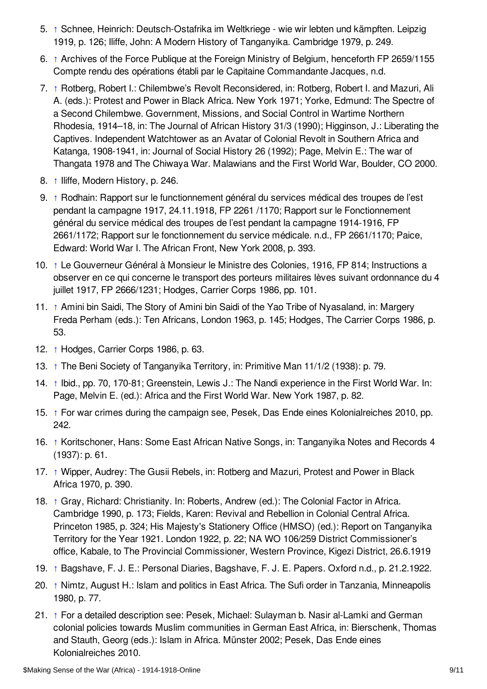- <span id="page-8-0"></span>5. [↑](#page-2-2) Schnee, Heinrich: Deutsch-Ostafrika im Weltkriege - wie wir lebten und kämpften. Leipzig 1919, p. 126; Iliffe, John: A Modern History of Tanganyika. Cambridge 1979, p. 249.
- <span id="page-8-1"></span>6. [↑](#page-2-3) Archives of the Force Publique at the Foreign Ministry of Belgium, henceforth FP 2659/1155 Compte rendu des opérations établi par le Capitaine Commandante Jacques, n.d.
- <span id="page-8-2"></span>7. [↑](#page-2-4) Rotberg, Robert I.: Chilembwe's Revolt Reconsidered, in: Rotberg, Robert I. and Mazuri, Ali A. (eds.): Protest and Power in Black Africa. New York 1971; Yorke, Edmund: The Spectre of a Second Chilembwe. Government, Missions, and Social Control in Wartime Northern Rhodesia, 1914–18, in: The Journal of African History 31/3 (1990); Higginson, J.: Liberating the Captives. Independent Watchtower as an Avatar of Colonial Revolt in Southern Africa and Katanga, 1908-1941, in: Journal of Social History 26 (1992); Page, Melvin E.: The war of Thangata 1978 and The Chiwaya War. Malawians and the First World War, Boulder, CO 2000.
- <span id="page-8-3"></span>8. [↑](#page-2-5) Iliffe, Modern History, p. 246.
- <span id="page-8-4"></span>9. [↑](#page-2-6) Rodhain: Rapport sur le functionnement général du services médical des troupes de l'est pendant la campagne 1917, 24.11.1918, FP 2261 /1170; Rapport sur le Fonctionnement général du service médical des troupes de l'est pendant la campagne 1914-1916, FP 2661/1172; Rapport sur le fonctionnement du service médicale. n.d., FP 2661/1170; Paice, Edward: World War I. The African Front, New York 2008, p. 393.
- <span id="page-8-5"></span>10. [↑](#page-2-7) Le Gouverneur Général à Monsieur le Ministre des Colonies, 1916, FP 814; Instructions a observer en ce qui concerne le transport des porteurs militaires lèves suivant ordonnance du 4 juillet 1917, FP 2666/1231; Hodges, Carrier Corps 1986, pp. 101.
- <span id="page-8-6"></span>11. [↑](#page-3-1) Amini bin Saidi, The Story of Amini bin Saidi of the Yao Tribe of Nyasaland, in: Margery Freda Perham (eds.): Ten Africans, London 1963, p. 145; Hodges, The Carrier Corps 1986, p. 53.
- <span id="page-8-7"></span>12. [↑](#page-3-2) Hodges, Carrier Corps 1986, p. 63.
- <span id="page-8-8"></span>13. [↑](#page-3-3) The Beni Society of Tanganyika Territory, in: Primitive Man 11/1/2 (1938): p. 79.
- <span id="page-8-9"></span>14. [↑](#page-3-4) Ibid., pp. 70, 170-81; Greenstein, Lewis J.: The Nandi experience in the First World War. In: Page, Melvin E. (ed.): Africa and the First World War. New York 1987, p. 82.
- <span id="page-8-10"></span>15. [↑](#page-3-5) For war crimes during the campaign see, Pesek, Das Ende eines Kolonialreiches 2010, pp. 242.
- <span id="page-8-11"></span>16. [↑](#page-4-0) Koritschoner, Hans: Some East African Native Songs, in: Tanganyika Notes and Records 4 (1937): p. 61.
- <span id="page-8-12"></span>17. [↑](#page-4-1) Wipper, Audrey: The Gusii Rebels, in: Rotberg and Mazuri, Protest and Power in Black Africa 1970, p. 390.
- <span id="page-8-13"></span>18. [↑](#page-4-2) Gray, Richard: Christianity. In: Roberts, Andrew (ed.): The Colonial Factor in Africa. Cambridge 1990, p. 173; Fields, Karen: Revival and Rebellion in Colonial Central Africa. Princeton 1985, p. 324; His Majesty's Stationery Office (HMSO) (ed.): Report on Tanganyika Territory for the Year 1921. London 1922, p. 22; NA WO 106/259 District Commissioner's office, Kabale, to The Provincial Commissioner, Western Province, Kigezi District, 26.6.1919
- <span id="page-8-14"></span>19. [↑](#page-5-0) Bagshave, F. J. E.: Personal Diaries, Bagshave, F. J. E. Papers. Oxford n.d., p. 21.2.1922.
- <span id="page-8-15"></span>20. [↑](#page-5-1) Nimtz, August H.: Islam and politics in East Africa. The Sufi order in Tanzania, Minneapolis 1980, p. 77.
- <span id="page-8-16"></span>21. [↑](#page-5-2) For a detailed description see: Pesek, Michael: Sulayman b. Nasir al-Lamki and German colonial policies towards Muslim communities in German East Africa, in: Bierschenk, Thomas and Stauth, Georg (eds.): Islam in Africa. Münster 2002; Pesek, Das Ende eines Kolonialreiches 2010.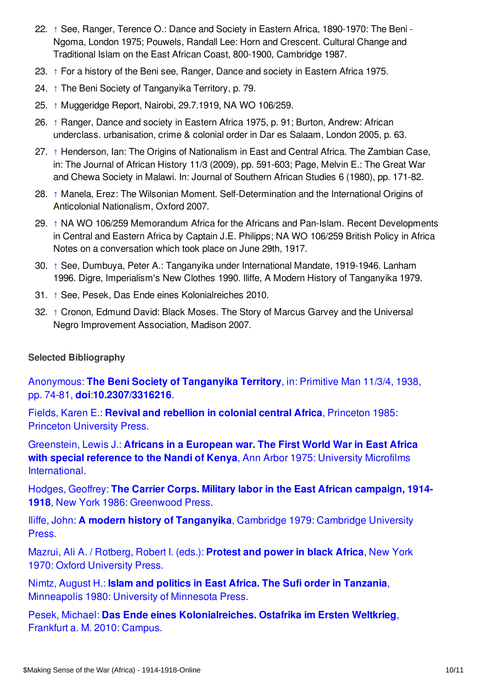- <span id="page-9-1"></span>22. [↑](#page-5-3) See, Ranger, Terence O.: Dance and Society in Eastern Africa, 1890-1970: The Beni - Ngoma, London 1975; Pouwels, Randall Lee: Horn and Crescent. Cultural Change and Traditional Islam on the East African Coast, 800-1900, Cambridge 1987.
- <span id="page-9-2"></span>23. [↑](#page-5-4) For a history of the Beni see, Ranger, Dance and society in Eastern Africa 1975.
- <span id="page-9-3"></span>24. [↑](#page-5-5) The Beni Society of Tanganyika Territory, p. 79.
- <span id="page-9-4"></span>25. [↑](#page-6-1) Muggeridge Report, Nairobi, 29.7.1919, NA WO 106/259.
- <span id="page-9-5"></span>26. [↑](#page-6-2) Ranger, Dance and society in Eastern Africa 1975, p. 91; Burton, Andrew: African underclass. urbanisation, crime & colonial order in Dar es Salaam, London 2005, p. 63.
- <span id="page-9-6"></span>27. [↑](#page-6-3) Henderson, Ian: The Origins of Nationalism in East and Central Africa. The Zambian Case, in: The Journal of African History 11/3 (2009), pp. 591-603; Page, Melvin E.: The Great War and Chewa Society in Malawi. In: Journal of Southern African Studies 6 (1980), pp. 171-82.
- <span id="page-9-7"></span>28. [↑](#page-6-4) Manela, Erez: The Wilsonian Moment. Self-Determination and the International Origins of Anticolonial Nationalism, Oxford 2007.
- <span id="page-9-8"></span>29. [↑](#page-6-5) NA WO 106/259 Memorandum Africa for the Africans and Pan-Islam. Recent Developments in Central and Eastern Africa by Captain J.E. Philipps; NA WO 106/259 British Policy in Africa Notes on a conversation which took place on June 29th, 1917.
- <span id="page-9-9"></span>30. [↑](#page-6-6) See, Dumbuya, Peter A.: Tanganyika under International Mandate, 1919-1946. Lanham 1996. Digre, Imperialism's New Clothes 1990. Iliffe, A Modern History of Tanganyika 1979.
- <span id="page-9-10"></span>31. [↑](#page-6-7) See, Pesek, Das Ende eines Kolonialreiches 2010.
- <span id="page-9-11"></span>32. [↑](#page-7-5) Cronon, Edmund David: Black Moses. The Story of Marcus Garvey and the Universal Negro Improvement Association, Madison 2007.

#### <span id="page-9-0"></span>**Selected Bibliography**

Anonymous: **The Beni Society of Tanganyika Territory**, in: Primitive Man 11/3/4, 1938, pp. 74-81, **doi**:**[10.2307/3316216](https://encyclopedia.1914-1918-online.net/bibliography/V45FHN63)**.

Fields, Karen E.: **Revival and rebellion in colonial central Africa**, Princeton 1985: Princeton [University](https://encyclopedia.1914-1918-online.net/bibliography/SPVIW9U9) Press.

Greenstein, Lewis J.: **Africans in a European war. The First World War in East Africa with special reference to the Nandi of Kenya**, Ann Arbor 1975: University Microfilms [International.](https://encyclopedia.1914-1918-online.net/bibliography/NVIZC56D)

Hodges, Geoffrey: **The Carrier Corps. Military labor in the East African campaign, 1914- 1918**, New York 1986: [Greenwood](https://encyclopedia.1914-1918-online.net/bibliography/Z7TKXNUU) Press.

Iliffe, John: **A modern history of [Tanganyika](https://encyclopedia.1914-1918-online.net/bibliography/H3EMSFE5)**, Cambridge 1979: Cambridge University Press.

Mazrui, Ali A. / Rotberg, Robert I. (eds.): **Protest and power in black Africa**, New York 1970: Oxford [University](https://encyclopedia.1914-1918-online.net/bibliography/J4NJQH4U) Press.

Nimtz, August H.: **Islam and politics in East Africa. The Sufi order in Tanzania**, [Minneapolis](https://encyclopedia.1914-1918-online.net/bibliography/9P4GR7MT) 1980: University of Minnesota Press.

Pesek, Michael: **Das Ende eines [Kolonialreiches.](https://encyclopedia.1914-1918-online.net/bibliography/JJE773MG) Ostafrika im Ersten Weltkrieg**, Frankfurt a. M. 2010: Campus.